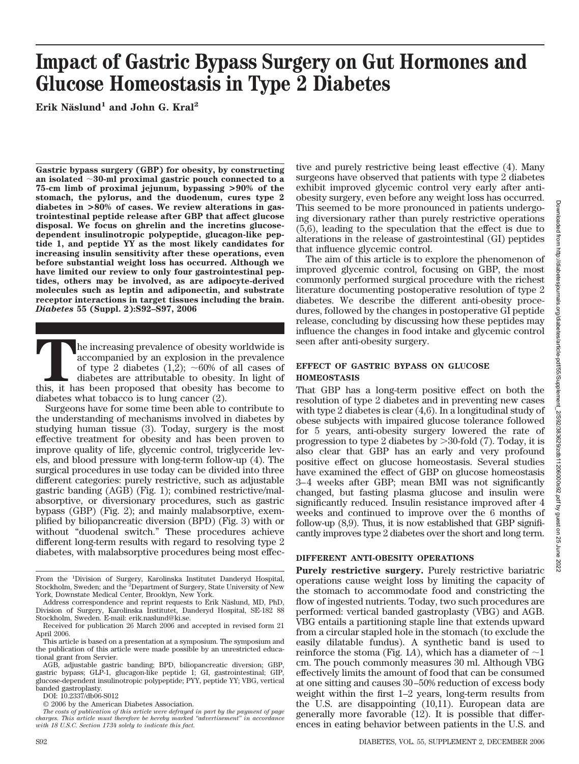# **Impact of Gastric Bypass Surgery on Gut Hormones and Glucose Homeostasis in Type 2 Diabetes**

Erik Näslund<sup>1</sup> and John G. Kral<sup>2</sup>

**Gastric bypass surgery (GBP) for obesity, by constructing an isolated 30-ml proximal gastric pouch connected to a 75-cm limb of proximal jejunum, bypassing >90% of the stomach, the pylorus, and the duodenum, cures type 2 diabetes in >80% of cases. We review alterations in gastrointestinal peptide release after GBP that affect glucose disposal. We focus on ghrelin and the incretins glucosedependent insulinotropic polypeptide, glucagon-like peptide 1, and peptide YY as the most likely candidates for increasing insulin sensitivity after these operations, even before substantial weight loss has occurred. Although we have limited our review to only four gastrointestinal peptides, others may be involved, as are adipocyte-derived molecules such as leptin and adiponectin, and substrate receptor interactions in target tissues including the brain.** *Diabetes* **55 (Suppl. 2):S92–S97, 2006**

The increasing prevalence of obesity worldwide is accompanied by an explosion in the prevalence of type 2 diabetes (1,2);  $\sim$ 60% of all cases of diabetes are attributable to obesity. In light of this, it has been proposed accompanied by an explosion in the prevalence of type 2 diabetes  $(1,2)$ ;  $\sim 60\%$  of all cases of diabetes are attributable to obesity. In light of this, it has been proposed that obesity has become to diabetes what tobacco is to lung cancer (2).

Surgeons have for some time been able to contribute to the understanding of mechanisms involved in diabetes by studying human tissue (3). Today, surgery is the most effective treatment for obesity and has been proven to improve quality of life, glycemic control, triglyceride levels, and blood pressure with long-term follow-up (4). The surgical procedures in use today can be divided into three different categories: purely restrictive, such as adjustable gastric banding (AGB) (Fig. 1); combined restrictive/malabsorptive, or diversionary procedures, such as gastric bypass (GBP) (Fig. 2); and mainly malabsorptive, exemplified by biliopancreatic diversion (BPD) (Fig. 3) with or without "duodenal switch." These procedures achieve different long-term results with regard to resolving type 2 diabetes, with malabsorptive procedures being most effec-

DOI: 10.2337/db06-S012

tive and purely restrictive being least effective (4). Many surgeons have observed that patients with type 2 diabetes exhibit improved glycemic control very early after antiobesity surgery, even before any weight loss has occurred. This seemed to be more pronounced in patients undergoing diversionary rather than purely restrictive operations (5,6), leading to the speculation that the effect is due to alterations in the release of gastrointestinal (GI) peptides that influence glycemic control.

The aim of this article is to explore the phenomenon of improved glycemic control, focusing on GBP, the most commonly performed surgical procedure with the richest literature documenting postoperative resolution of type 2 diabetes. We describe the different anti-obesity procedures, followed by the changes in postoperative GI peptide release, concluding by discussing how these peptides may influence the changes in food intake and glycemic control seen after anti-obesity surgery.

### **EFFECT OF GASTRIC BYPASS ON GLUCOSE HOMEOSTASIS**

That GBP has a long-term positive effect on both the resolution of type 2 diabetes and in preventing new cases with type 2 diabetes is clear (4,6). In a longitudinal study of obese subjects with impaired glucose tolerance followed for 5 years, anti-obesity surgery lowered the rate of progression to type 2 diabetes by -30-fold (7). Today, it is also clear that GBP has an early and very profound positive effect on glucose homeostasis. Several studies have examined the effect of GBP on glucose homeostasis 3– 4 weeks after GBP; mean BMI was not significantly changed, but fasting plasma glucose and insulin were significantly reduced. Insulin resistance improved after 4 weeks and continued to improve over the 6 months of follow-up (8,9). Thus, it is now established that GBP significantly improves type 2 diabetes over the short and long term.

## **DIFFERENT ANTI-OBESITY OPERATIONS**

**Purely restrictive surgery.** Purely restrictive bariatric operations cause weight loss by limiting the capacity of the stomach to accommodate food and constricting the flow of ingested nutrients. Today, two such procedures are performed: vertical banded gastroplasty (VBG) and AGB. VBG entails a partitioning staple line that extends upward from a circular stapled hole in the stomach (to exclude the easily dilatable fundus). A synthetic band is used to reinforce the stoma (Fig. 1A), which has a diameter of  $\sim$ 1 cm. The pouch commonly measures 30 ml. Although VBG effectively limits the amount of food that can be consumed at one sitting and causes 30 –50% reduction of excess body weight within the first 1–2 years, long-term results from the U.S. are disappointing (10,11). European data are generally more favorable (12). It is possible that differences in eating behavior between patients in the U.S. and

From the <sup>1</sup>Division of Surgery, Karolinska Institutet Danderyd Hospital,<br>Stockholm, Sweden; and the <sup>2</sup>Department of Surgery, State University of New York, Downstate Medical Center, Brooklyn, New York.

Address correspondence and reprint requests to Erik Näslund, MD, PhD, Division of Surgery, Karolinska Institutet, Danderyd Hospital, SE-182 88 Stockholm, Sweden. E-mail: erik.naslund@ki.se.

Received for publication 26 March 2006 and accepted in revised form 21 April 2006.

This article is based on a presentation at a symposium. The symposium and the publication of this article were made possible by an unrestricted educational grant from Servier.

AGB, adjustable gastric banding; BPD, biliopancreatic diversion; GBP, gastric bypass; GLP-1, glucagon-like peptide 1; GI, gastrointestinal; GIP, glucose-dependent insulinotropic polypeptide; PYY, peptide YY; VBG, vertical banded gastroplasty.

<sup>© 2006</sup> by the American Diabetes Association.

*The costs of publication of this article were defrayed in part by the payment of page charges. This article must therefore be hereby marked "advertisement" in accordance with 18 U.S.C. Section 1734 solely to indicate this fact.*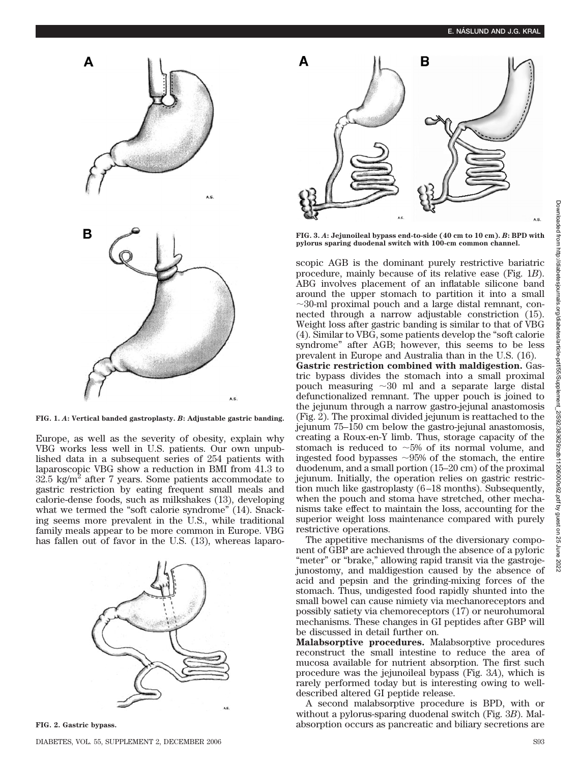

**FIG. 1.** *A***: Vertical banded gastroplasty.** *B***: Adjustable gastric banding.**

Europe, as well as the severity of obesity, explain why VBG works less well in U.S. patients. Our own unpublished data in a subsequent series of 254 patients with laparoscopic VBG show a reduction in BMI from 41.3 to  $32.5 \text{ kg/m}^2$  after 7 years. Some patients accommodate to gastric restriction by eating frequent small meals and calorie-dense foods, such as milkshakes (13), developing what we termed the "soft calorie syndrome" (14). Snacking seems more prevalent in the U.S., while traditional family meals appear to be more common in Europe. VBG has fallen out of favor in the U.S. (13), whereas laparo-



**FIG. 2. Gastric bypass.**



**FIG. 3.** *A***: Jejunoileal bypass end-to-side (40 cm to 10 cm).** *B***: BPD with pylorus sparing duodenal switch with 100-cm common channel.**

scopic AGB is the dominant purely restrictive bariatric procedure, mainly because of its relative ease (Fig. 1*B*). ABG involves placement of an inflatable silicone band around the upper stomach to partition it into a small  $\sim$ 30-ml proximal pouch and a large distal remnant, connected through a narrow adjustable constriction (15). Weight loss after gastric banding is similar to that of VBG (4). Similar to VBG, some patients develop the "soft calorie syndrome" after AGB; however, this seems to be less prevalent in Europe and Australia than in the U.S. (16). **Gastric restriction combined with maldigestion.** Gastric bypass divides the stomach into a small proximal pouch measuring  $\sim 30$  ml and a separate large distal defunctionalized remnant. The upper pouch is joined to the jejunum through a narrow gastro-jejunal anastomosis (Fig. 2). The proximal divided jejunum is reattached to the jejunum 75–150 cm below the gastro-jejunal anastomosis, creating a Roux-en-Y limb. Thus, storage capacity of the stomach is reduced to  $\sim$ 5% of its normal volume, and ingested food bypasses  $\sim 95\%$  of the stomach, the entire duodenum, and a small portion (15–20 cm) of the proximal jejunum. Initially, the operation relies on gastric restriction much like gastroplasty (6 –18 months). Subsequently, when the pouch and stoma have stretched, other mechanisms take effect to maintain the loss, accounting for the superior weight loss maintenance compared with purely restrictive operations.

The appetitive mechanisms of the diversionary component of GBP are achieved through the absence of a pyloric "meter" or "brake," allowing rapid transit via the gastrojejunostomy, and maldigestion caused by the absence of acid and pepsin and the grinding-mixing forces of the stomach. Thus, undigested food rapidly shunted into the small bowel can cause nimiety via mechanoreceptors and possibly satiety via chemoreceptors (17) or neurohumoral mechanisms. These changes in GI peptides after GBP will be discussed in detail further on.

**Malabsorptive procedures.** Malabsorptive procedures reconstruct the small intestine to reduce the area of mucosa available for nutrient absorption. The first such procedure was the jejunoileal bypass (Fig. 3*A*), which is rarely performed today but is interesting owing to welldescribed altered GI peptide release.

A second malabsorptive procedure is BPD, with or without a pylorus-sparing duodenal switch (Fig. 3*B*). Malabsorption occurs as pancreatic and biliary secretions are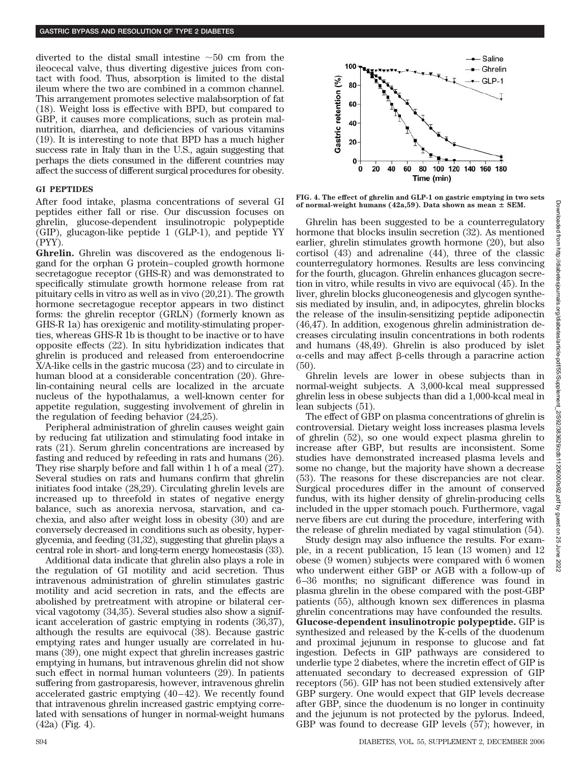diverted to the distal small intestine  $\sim 50$  cm from the ileocecal valve, thus diverting digestive juices from contact with food. Thus, absorption is limited to the distal ileum where the two are combined in a common channel. This arrangement promotes selective malabsorption of fat (18). Weight loss is effective with BPD, but compared to GBP, it causes more complications, such as protein malnutrition, diarrhea, and deficiencies of various vitamins (19). It is interesting to note that BPD has a much higher success rate in Italy than in the U.S., again suggesting that perhaps the diets consumed in the different countries may affect the success of different surgical procedures for obesity.

#### **GI PEPTIDES**

After food intake, plasma concentrations of several GI peptides either fall or rise. Our discussion focuses on ghrelin, glucose-dependent insulinotropic polypeptide (GIP), glucagon-like peptide 1 (GLP-1), and peptide YY (PYY).

**Ghrelin.** Ghrelin was discovered as the endogenous ligand for the orphan G protein– coupled growth hormone secretagogue receptor (GHS-R) and was demonstrated to specifically stimulate growth hormone release from rat pituitary cells in vitro as well as in vivo (20,21). The growth hormone secretagogue receptor appears in two distinct forms: the ghrelin receptor (GRLN) (formerly known as GHS-R 1a) has orexigenic and motility-stimulating properties, whereas GHS-R 1b is thought to be inactive or to have opposite effects (22). In situ hybridization indicates that ghrelin is produced and released from enteroendocrine X/A-like cells in the gastric mucosa (23) and to circulate in human blood at a considerable concentration (20). Ghrelin-containing neural cells are localized in the arcuate nucleus of the hypothalamus, a well-known center for appetite regulation, suggesting involvement of ghrelin in the regulation of feeding behavior (24,25).

Peripheral administration of ghrelin causes weight gain by reducing fat utilization and stimulating food intake in rats (21). Serum ghrelin concentrations are increased by fasting and reduced by refeeding in rats and humans (26). They rise sharply before and fall within 1 h of a meal (27). Several studies on rats and humans confirm that ghrelin initiates food intake (28,29). Circulating ghrelin levels are increased up to threefold in states of negative energy balance, such as anorexia nervosa, starvation, and cachexia, and also after weight loss in obesity (30) and are conversely decreased in conditions such as obesity, hyperglycemia, and feeding (31,32), suggesting that ghrelin plays a central role in short- and long-term energy homeostasis (33).

Additional data indicate that ghrelin also plays a role in the regulation of GI motility and acid secretion. Thus intravenous administration of ghrelin stimulates gastric motility and acid secretion in rats, and the effects are abolished by pretreatment with atropine or bilateral cervical vagotomy (34,35). Several studies also show a significant acceleration of gastric emptying in rodents (36,37), although the results are equivocal (38). Because gastric emptying rates and hunger usually are correlated in humans (39), one might expect that ghrelin increases gastric emptying in humans, but intravenous ghrelin did not show such effect in normal human volunteers (29). In patients suffering from gastroparesis, however, intravenous ghrelin accelerated gastric emptying  $(40-42)$ . We recently found that intravenous ghrelin increased gastric emptying correlated with sensations of hunger in normal-weight humans (42a) (Fig. 4).



**FIG. 4. The effect of ghrelin and GLP-1 on gastric emptying in two sets** of normal-weight humans  $(42a,59)$ . Data shown as mean  $\pm$  SEM.

Ghrelin has been suggested to be a counterregulatory hormone that blocks insulin secretion (32). As mentioned earlier, ghrelin stimulates growth hormone (20), but also cortisol (43) and adrenaline (44), three of the classic counterregulatory hormones. Results are less convincing for the fourth, glucagon. Ghrelin enhances glucagon secretion in vitro, while results in vivo are equivocal (45). In the liver, ghrelin blocks gluconeogenesis and glycogen synthesis mediated by insulin, and, in adipocytes, ghrelin blocks the release of the insulin-sensitizing peptide adiponectin (46,47). In addition, exogenous ghrelin administration decreases circulating insulin concentrations in both rodents and humans (48,49). Ghrelin is also produced by islet  $\alpha$ -cells and may affect  $\beta$ -cells through a paracrine action (50).

Ghrelin levels are lower in obese subjects than in normal-weight subjects. A 3,000-kcal meal suppressed ghrelin less in obese subjects than did a 1,000-kcal meal in lean subjects (51).

The effect of GBP on plasma concentrations of ghrelin is controversial. Dietary weight loss increases plasma levels of ghrelin (52), so one would expect plasma ghrelin to increase after GBP, but results are inconsistent. Some studies have demonstrated increased plasma levels and some no change, but the majority have shown a decrease (53). The reasons for these discrepancies are not clear. Surgical procedures differ in the amount of conserved fundus, with its higher density of ghrelin-producing cells included in the upper stomach pouch. Furthermore, vagal nerve fibers are cut during the procedure, interfering with the release of ghrelin mediated by vagal stimulation (54).

Study design may also influence the results. For example, in a recent publication, 15 lean (13 women) and 12 obese (9 women) subjects were compared with 6 women who underwent either GBP or AGB with a follow-up of 6 –36 months; no significant difference was found in plasma ghrelin in the obese compared with the post-GBP patients (55), although known sex differences in plasma ghrelin concentrations may have confounded the results. **Glucose-dependent insulinotropic polypeptide.** GIP is synthesized and released by the K-cells of the duodenum and proximal jejunum in response to glucose and fat ingestion. Defects in GIP pathways are considered to underlie type 2 diabetes, where the incretin effect of GIP is attenuated secondary to decreased expression of GIP receptors (56). GIP has not been studied extensively after GBP surgery. One would expect that GIP levels decrease after GBP, since the duodenum is no longer in continuity and the jejunum is not protected by the pylorus. Indeed, GBP was found to decrease GIP levels (57); however, in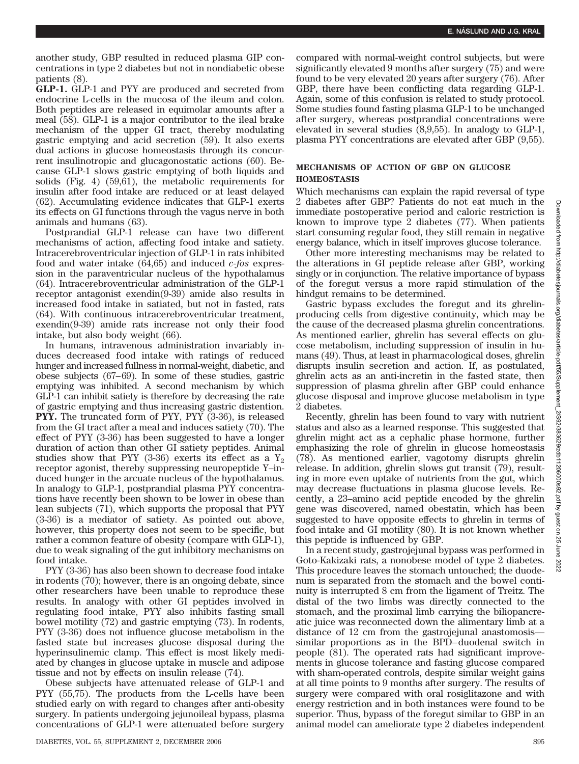another study, GBP resulted in reduced plasma GIP concentrations in type 2 diabetes but not in nondiabetic obese patients (8).

**GLP-1.** GLP-1 and PYY are produced and secreted from endocrine L-cells in the mucosa of the ileum and colon. Both peptides are released in equimolar amounts after a meal (58). GLP-1 is a major contributor to the ileal brake mechanism of the upper GI tract, thereby modulating gastric emptying and acid secretion (59). It also exerts dual actions in glucose homeostasis through its concurrent insulinotropic and glucagonostatic actions (60). Because GLP-1 slows gastric emptying of both liquids and solids (Fig. 4) (59,61), the metabolic requirements for insulin after food intake are reduced or at least delayed (62). Accumulating evidence indicates that GLP-1 exerts its effects on GI functions through the vagus nerve in both animals and humans (63).

Postprandial GLP-1 release can have two different mechanisms of action, affecting food intake and satiety. Intracerebroventricular injection of GLP-1 in rats inhibited food and water intake (64,65) and induced *c-fos* expression in the paraventricular nucleus of the hypothalamus (64). Intracerebroventricular administration of the GLP-1 receptor antagonist exendin(9-39) amide also results in increased food intake in satiated, but not in fasted, rats (64). With continuous intracerebroventricular treatment, exendin(9-39) amide rats increase not only their food intake, but also body weight (66).

In humans, intravenous administration invariably induces decreased food intake with ratings of reduced hunger and increased fullness in normal-weight, diabetic, and obese subjects (67– 69). In some of these studies, gastric emptying was inhibited. A second mechanism by which GLP-1 can inhibit satiety is therefore by decreasing the rate of gastric emptying and thus increasing gastric distention. **PYY.** The truncated form of PYY, PYY (3-36), is released from the GI tract after a meal and induces satiety (70). The effect of PYY (3-36) has been suggested to have a longer duration of action than other GI satiety peptides. Animal studies show that PYY  $(3-36)$  exerts its effect as a Y<sub>2</sub> receptor agonist, thereby suppressing neuropeptide Y–induced hunger in the arcuate nucleus of the hypothalamus. In analogy to GLP-1, postprandial plasma PYY concentrations have recently been shown to be lower in obese than lean subjects (71), which supports the proposal that PYY (3-36) is a mediator of satiety. As pointed out above, however, this property does not seem to be specific, but rather a common feature of obesity (compare with GLP-1), due to weak signaling of the gut inhibitory mechanisms on food intake.

PYY (3-36) has also been shown to decrease food intake in rodents (70); however, there is an ongoing debate, since other researchers have been unable to reproduce these results. In analogy with other GI peptides involved in regulating food intake, PYY also inhibits fasting small bowel motility (72) and gastric emptying (73). In rodents, PYY (3-36) does not influence glucose metabolism in the fasted state but increases glucose disposal during the hyperinsulinemic clamp. This effect is most likely mediated by changes in glucose uptake in muscle and adipose tissue and not by effects on insulin release (74).

Obese subjects have attenuated release of GLP-1 and PYY (55,75). The products from the L-cells have been studied early on with regard to changes after anti-obesity surgery. In patients undergoing jejunoileal bypass, plasma concentrations of GLP-1 were attenuated before surgery

compared with normal-weight control subjects, but were significantly elevated 9 months after surgery (75) and were found to be very elevated 20 years after surgery (76). After GBP, there have been conflicting data regarding GLP-1. Again, some of this confusion is related to study protocol. Some studies found fasting plasma GLP-1 to be unchanged after surgery, whereas postprandial concentrations were elevated in several studies (8,9,55). In analogy to GLP-1, plasma PYY concentrations are elevated after GBP (9,55).

# **MECHANISMS OF ACTION OF GBP ON GLUCOSE HOMEOSTASIS**

Which mechanisms can explain the rapid reversal of type 2 diabetes after GBP? Patients do not eat much in the immediate postoperative period and caloric restriction is known to improve type 2 diabetes (77). When patients start consuming regular food, they still remain in negative energy balance, which in itself improves glucose tolerance.

Other more interesting mechanisms may be related to the alterations in GI peptide release after GBP, working singly or in conjunction. The relative importance of bypass of the foregut versus a more rapid stimulation of the hindgut remains to be determined.

Gastric bypass excludes the foregut and its ghrelinproducing cells from digestive continuity, which may be the cause of the decreased plasma ghrelin concentrations. As mentioned earlier, ghrelin has several effects on glucose metabolism, including suppression of insulin in humans (49). Thus, at least in pharmacological doses, ghrelin disrupts insulin secretion and action. If, as postulated, ghrelin acts as an anti-incretin in the fasted state, then suppression of plasma ghrelin after GBP could enhance glucose disposal and improve glucose metabolism in type 2 diabetes.

Recently, ghrelin has been found to vary with nutrient status and also as a learned response. This suggested that ghrelin might act as a cephalic phase hormone, further emphasizing the role of ghrelin in glucose homeostasis (78). As mentioned earlier, vagotomy disrupts ghrelin release. In addition, ghrelin slows gut transit (79), resulting in more even uptake of nutrients from the gut, which may decrease fluctuations in plasma glucose levels. Recently, a 23–amino acid peptide encoded by the ghrelin gene was discovered, named obestatin, which has been suggested to have opposite effects to ghrelin in terms of food intake and GI motility (80). It is not known whether this peptide is influenced by GBP.

In a recent study, gastrojejunal bypass was performed in Goto-Kakizaki rats, a nonobese model of type 2 diabetes. This procedure leaves the stomach untouched; the duodenum is separated from the stomach and the bowel continuity is interrupted 8 cm from the ligament of Treitz. The distal of the two limbs was directly connected to the stomach, and the proximal limb carrying the biliopancreatic juice was reconnected down the alimentary limb at a distance of 12 cm from the gastrojejunal anastomosis similar proportions as in the BPD– duodenal switch in people (81). The operated rats had significant improvements in glucose tolerance and fasting glucose compared with sham-operated controls, despite similar weight gains at all time points to 9 months after surgery. The results of surgery were compared with oral rosiglitazone and with energy restriction and in both instances were found to be superior. Thus, bypass of the foregut similar to GBP in an animal model can ameliorate type 2 diabetes independent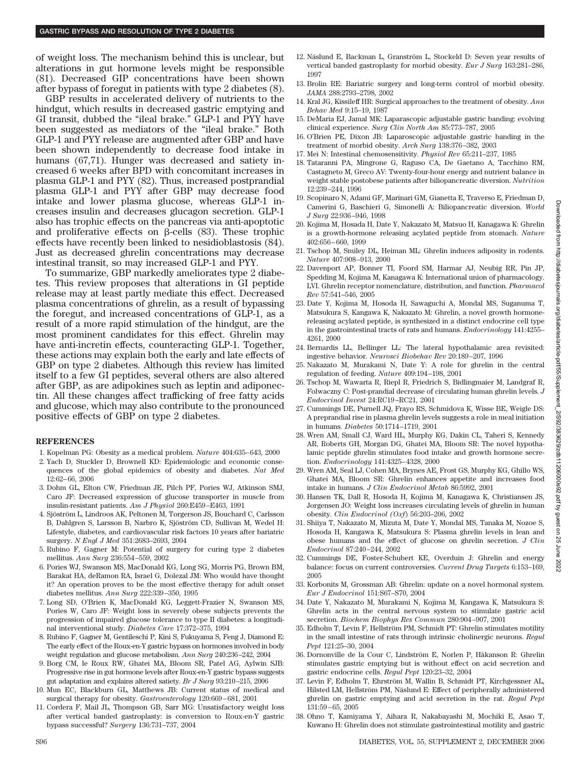of weight loss. The mechanism behind this is unclear, but alterations in gut hormone levels might be responsible (81). Decreased GIP concentrations have been shown after bypass of foregut in patients with type 2 diabetes (8).

GBP results in accelerated delivery of nutrients to the hindgut, which results in decreased gastric emptying and GI transit, dubbed the "ileal brake." GLP-1 and PYY have been suggested as mediators of the "ileal brake." Both GLP-1 and PYY release are augmented after GBP and have been shown independently to decrease food intake in humans (67,71). Hunger was decreased and satiety increased 6 weeks after BPD with concomitant increases in plasma GLP-1 and PYY (82). Thus, increased postprandial plasma GLP-1 and PYY after GBP may decrease food intake and lower plasma glucose, whereas GLP-1 increases insulin and decreases glucagon secretion. GLP-1 also has trophic effects on the pancreas via anti-apoptotic and proliferative effects on  $\beta$ -cells  $(83)$ . These trophic effects have recently been linked to nesidioblastosis (84). Just as decreased ghrelin concentrations may decrease intestinal transit, so may increased GLP-1 and PYY.

To summarize, GBP markedly ameliorates type 2 diabetes. This review proposes that alterations in GI peptide release may at least partly mediate this effect. Decreased plasma concentrations of ghrelin, as a result of bypassing the foregut, and increased concentrations of GLP-1, as a result of a more rapid stimulation of the hindgut, are the most prominent candidates for this effect. Ghrelin may have anti-incretin effects, counteracting GLP-1. Together, these actions may explain both the early and late effects of GBP on type 2 diabetes. Although this review has limited itself to a few GI peptides, several others are also altered after GBP, as are adipokines such as leptin and adiponectin. All these changes affect trafficking of free fatty acids and glucose, which may also contribute to the pronounced positive effects of GBP on type 2 diabetes.

#### **REFERENCES**

- 1. Kopelman PG: Obesity as a medical problem. *Nature* 404:635– 643, 2000
- 2. Yach D, Stuckler D, Brownell KD: Epidemiologic and economic consequences of the global epidemics of obesity and diabetes. *Nat Med* 12:62– 66, 2006
- 3. Dohm GL, Elton CW, Friedman JE, Pilch PF, Pories WJ, Atkinson SMJ, Caro JF: Decreased expression of glucose transporter in muscle from insulin-resistant patients. *Am J Physiol* 260:E459 –E463, 1991
- 4. Sjöström L, Lindroos AK, Peltonen M, Torgerson JS, Bouchard C, Carlsson B, Dahlgren S, Larsson B, Narbro K, Sjöström CD, Sullivan M, Wedel H: Lifestyle, diabetes, and cardiovascular risk factors 10 years after bariatric surgery. *N Engl J Med* 351:2683–2693, 2004
- 5. Rubino F, Gagner M: Potential of surgery for curing type 2 diabetes mellitus. *Ann Surg* 236:554 –559, 2002
- 6. Pories WJ, Swanson MS, MacDonald KG, Long SG, Morris PG, Brown BM, Barakat HA, deRamon RA, Israel G, Dolezal JM: Who would have thought it? An operation proves to be the most effective therapy for adult onset diabetes mellitus. *Ann Surg* 222:339 –350, 1995
- 7. Long SD, O'Brien K, MacDonald KG, Leggett-Frazier N, Swanson MS, Pories W, Caro JF: Weight loss in severely obese subjects prevents the progression of impaired glucose tolerance to type II diabetes: a longitudinal interventional study. *Diabetes Care* 17:372–375, 1994
- 8. Rubino F, Gagner M, Gentileschi P, Kini S, Fukuyama S, Feng J, Diamond E: The early effect of the Roux-en-Y gastric bypass on hormones involved in body weight regulation and glucose metabolism. *Ann Surg* 240:236 –242, 2004
- 9. Borg CM, le Roux RW, Ghatei MA, Bloom SR, Patel AG, Aylwin SJB: Progressive rise in gut hormone levels after Roux-en-Y gastric bypass suggests gut adaptation and explains altered satiety. *Br J Surg* 93:210 –215, 2006
- 10. Mun EC, Blackburn GL, Matthews JB: Current status of medical and surgical therapy for obesity. *Gastroenterology* 120:669 – 681, 2001
- 11. Cordera F, Mail JL, Thompson GB, Sarr MG: Unsatisfactory weight loss after vertical banded gastroplasty: is conversion to Roux-en-Y gastric bypass successful? *Surgery* 136:731–737, 2004
- 12. Näslund E, Backman L, Granström L, Stockeld D: Seven year results of vertical banded gastroplasty for morbid obesity. *Eur J Surg* 163:281–286, 1997
- 13. Brolin RE: Bariatric surgery and long-term control of morbid obesity. *JAMA* 288:2793–2798, 2002
- 14. Kral JG, Kissileff HR: Surgical approaches to the treatment of obesity. *Ann Behav Med* 9:15–19, 1987
- 15. DeMaria EJ, Jamal MK: Laparascopic adjustable gastric banding: evolving clinical experience. *Surg Clin North Am* 85:773–787, 2005
- 16. O'Brien PE, Dixon JB: Laparoscopic adjustable gastric banding in the treatment of morbid obesity. *Arch Surg* 138:376 –382, 2003
- 17. Mei N: Intestinal chemosensitivity. *Physiol Rev* 65:211–237, 1985
- 18. Tataranni PA, Mingrone G, Raguso CA, De Gaetano A, Tacchino RM, Castagneto M, Greco AV: Twenty-four-hour energy and nutrient balance in weight stable postobese patients after biliopancreatic diversion. *Nutrition* 12:239 –244, 1996
- 19. Scopinaro N, Adami GF, Marinari GM, Gianetta E, Traverso E, Friedman D, Camerini G, Baschieri G, Simonelli A: Biliopancreatic diversion. *World J Surg* 22:936 –946, 1998
- 20. Kojima M, Hosada H, Date Y, Nakazato M, Matsuo H, Kanagawa K: Ghrelin is a growth-hormone releasing acylated peptide from stomach. *Nature* 402:656 – 660, 1999
- 21. Tschop M, Smiley DL, Heiman ML: Ghrelin induces adiposity in rodents. *Nature* 407:908 –913, 2000
- 22. Davenport AP, Bonner TI, Foord SM, Harmar AJ, Neubig RR, Pin JP, Spedding M, Kojima M, Kanagawa K: International union of pharmacology. LVI. Ghrelin receptor nomenclature, distribution, and function. *Pharmacol Rev* 57:541–546, 2005
- 23. Date Y, Kojima M, Hosoda H, Sawaguchi A, Mondal MS, Suganuma T, Matsukura S, Kangawa K, Nakazato M: Ghrelin, a novel growth hormonereleasing acylated peptide, is synthesized in a distinct endocrine cell type in the gastrointestinal tracts of rats and humans. *Endocrinology* 141:4255– 4261, 2000
- 24. Bernardis LL, Bellinger LL: The lateral hypothalamic area revisited: ingestive behavior. *Neurosci Biobehav Rev* 20:189 –207, 1996
- 25. Nakazato M, Murakami N, Date Y: A role for ghrelin in the central regulation of feeding. *Nature* 409:194 –198, 2001
- 26. Tschop M, Wawarta R, Riepl R, Friedrich S, Bidlingmaier M, Landgraf R, Folwaczny C: Post-prandial decrease of circulating human ghrelin levels. *J Endocrinol Invest* 24:RC19 –RC21, 2001
- 27. Cummings DE, Purnell JQ, Frayo RS, Schmidova K, Wisse BE, Weigle DS: A preprandial rise in plasma ghrelin levels suggests a role in meal initiation in humans. *Diabetes* 50:1714 –1719, 2001
- 28. Wren AM, Small CJ, Ward HL, Murphy KG, Dakin CL, Taheri S, Kennedy AR, Roberts GH, Morgan DG, Ghatei MA, Bloom SR: The novel hypothalamic peptide ghrelin stimulates food intake and growth hormone secretion. *Endocrinology* 141:4325– 4328, 2000
- 29. Wren AM, Seal LJ, Cohen MA, Brynes AE, Frost GS, Murphy KG, Ghillo WS, Ghatei MA, Bloom SR: Ghrelin enhances appetite and increases food intake in humans. *J Clin Endocrinol Metab* 86:5992, 2001
- 30. Hansen TK, Dall R, Hosoda H, Kojima M, Kanagawa K, Christiansen JS, Jorgensen JO: Weight loss increases circulating levels of ghrelin in human obesity. *Clin Endocrinol (Oxf*) 56:203–206, 2002
- 31. Shiiya T, Nakazato M, Mizuta M, Date Y, Mondal MS, Tanaka M, Nozoe S, Hosoda H, Kangawa K, Matsukura S: Plasma ghrelin levels in lean and obese humans and the effect of glucose on ghrelin secretion. *J Clin Endocrinol* 87:240 –244, 2002
- 32. Cummings DE, Foster-Schubert KE, Overduin J: Ghrelin and energy balance: focus on current controversies. *Current Drug Targets* 6:153–169, 2005
- 33. Korbonits M, Grossman AB: Ghrelin: update on a novel hormonal system. *Eur J Endocrinol* 151:S67–S70, 2004
- 34. Date Y, Nakazato M, Murakami N, Kojima M, Kangawa K, Matsukura S: Ghrelin acts in the central nervous system to stimulate gastric acid secretion. *Biochem Biophys Res Commun* 280:904 –907, 2001
- 35. Edholm T, Levin F, Hellström PM, Schmidt PT: Ghrelin stimulates motility in the small intestine of rats through intrinsic cholinergic neurons. *Regul Pept* 121:25–30, 2004
- 36. Dornonville de la Cour C, Lindström E, Norlen P, Håkanson R: Ghrelin stimulates gastric emptying but is without effect on acid secretion and gastric endocrine cells. *Regul Pept* 120:23–32, 2004
- 37. Levin F, Edholm T, Ehrström M, Wallin B, Schmidt PT, Kirchgessner AL, Hilsted LM, Hellström PM, Näslund E: Effect of peripherally administered ghrelin on gastric emptying and acid secretion in the rat. *Regul Pept* 131:59 – 65, 2005
- 38. Ohno T, Kamiyama Y, Aihara R, Nakabayashi M, Mochiki E, Asao T, Kuwano H: Ghrelin does not stimulate gastrointestinal motility and gastric